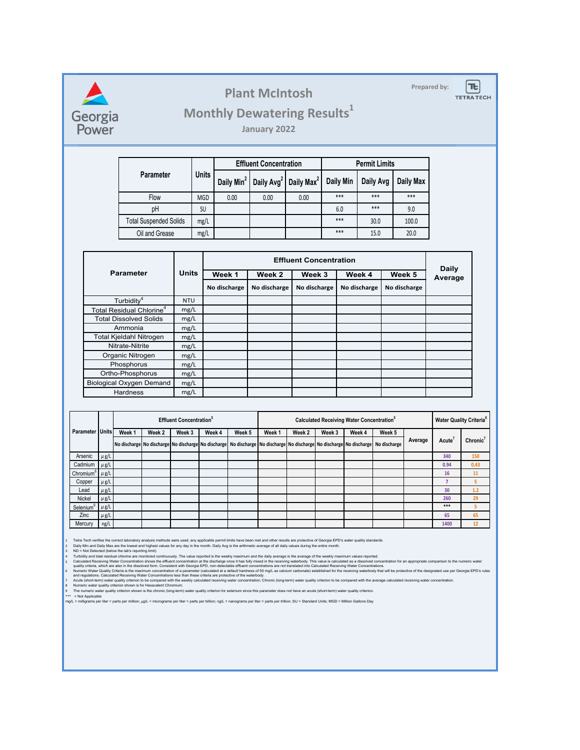

**Plant McIntosh Plant McIntosh** 

 $|\bm{\pi}|$ **TETRATECH** 

## **Monthly Dewatering Results<sup>1</sup>**

**January 2022**

|                               |              |                        | <b>Effluent Concentration</b> |                        | <b>Permit Limits</b> |           |           |  |
|-------------------------------|--------------|------------------------|-------------------------------|------------------------|----------------------|-----------|-----------|--|
| <b>Parameter</b>              | <b>Units</b> | Daily Min <sup>2</sup> | Daily Avg <sup>2</sup>        | Daily Max <sup>2</sup> | Daily Min            | Daily Avg | Daily Max |  |
| Flow                          | <b>MGD</b>   | 0.00                   | 0.00                          | 0.00                   | ***                  | ***       | ***       |  |
| pH                            | SU           |                        |                               |                        | 6.0                  | ***       | 9.0       |  |
| <b>Total Suspended Solids</b> | mg/L         |                        |                               |                        | ***                  | 30.0      | 100.0     |  |
| Oil and Grease                | mg/L         |                        |                               |                        | ***                  | 15.0      | 20.0      |  |

|                                      | <b>Units</b> |              | <b>Daily</b> |              |              |              |         |
|--------------------------------------|--------------|--------------|--------------|--------------|--------------|--------------|---------|
| <b>Parameter</b>                     |              | Week 1       | Week 2       | Week 3       | Week 4       | Week 5       | Average |
|                                      |              | No discharge | No discharge | No discharge | No discharge | No discharge |         |
| Turbidity <sup>4</sup>               | <b>NTU</b>   |              |              |              |              |              |         |
| Total Residual Chlorine <sup>4</sup> | mg/L         |              |              |              |              |              |         |
| <b>Total Dissolved Solids</b>        | mg/L         |              |              |              |              |              |         |
| Ammonia                              | mg/L         |              |              |              |              |              |         |
| Total Kjeldahl Nitrogen              | mg/L         |              |              |              |              |              |         |
| Nitrate-Nitrite                      | mg/L         |              |              |              |              |              |         |
| Organic Nitrogen                     | mg/L         |              |              |              |              |              |         |
| Phosphorus                           | mg/L         |              |              |              |              |              |         |
| Ortho-Phosphorus                     | mg/L         |              |              |              |              |              |         |
| <b>Biological Oxygen Demand</b>      | mg/L         |              |              |              |              |              |         |
| <b>Hardness</b>                      | mg/L         |              |              |              |              |              |         |

|                                                       |           | <b>Effluent Concentration</b> <sup>9</sup> |        |        |        |        | <b>Calculated Receiving Water Concentration</b> <sup>5</sup> |        |        |        |                                                                                                                                                | <b>Water Quality Criteria<sup>6</sup></b> |                    |                      |
|-------------------------------------------------------|-----------|--------------------------------------------|--------|--------|--------|--------|--------------------------------------------------------------|--------|--------|--------|------------------------------------------------------------------------------------------------------------------------------------------------|-------------------------------------------|--------------------|----------------------|
| Parameter   Units                                     |           | Week <sub>1</sub>                          | Week 2 | Week 3 | Week 4 | Week 5 | Week 1                                                       | Week 2 | Week 3 | Week 4 | Week 5                                                                                                                                         | Average                                   |                    | Chronic <sup>7</sup> |
|                                                       |           |                                            |        |        |        |        |                                                              |        |        |        | No discharge No discharge No discharge No discharge No discharge No discharge No discharge No discharge No discharge No discharge No discharge |                                           | Acute <sup>®</sup> |                      |
| Arsenic                                               | $\mu$ g/L |                                            |        |        |        |        |                                                              |        |        |        |                                                                                                                                                |                                           | 340                | 150                  |
| Cadmium                                               | $\mu$ g/L |                                            |        |        |        |        |                                                              |        |        |        |                                                                                                                                                |                                           | 0.94               | 0.43                 |
| Chromium <sup><sup>8</sup> <math>\mu</math> g/L</sup> |           |                                            |        |        |        |        |                                                              |        |        |        |                                                                                                                                                |                                           | 16                 | 11                   |
| Copper                                                | $\mu$ g/L |                                            |        |        |        |        |                                                              |        |        |        |                                                                                                                                                |                                           |                    |                      |
| Lead                                                  | $\mu$ g/L |                                            |        |        |        |        |                                                              |        |        |        |                                                                                                                                                |                                           | 30                 | 1.2                  |
| <b>Nickel</b>                                         | $\mu$ g/L |                                            |        |        |        |        |                                                              |        |        |        |                                                                                                                                                |                                           | 260                | 29                   |
| Selenium <sup>9</sup>                                 | $\mu$ g/L |                                            |        |        |        |        |                                                              |        |        |        |                                                                                                                                                |                                           | ***                |                      |
| Zinc                                                  | $\mu$ g/L |                                            |        |        |        |        |                                                              |        |        |        |                                                                                                                                                |                                           | 65                 | 65                   |
| Mercury                                               | ng/L      |                                            |        |        |        |        |                                                              |        |        |        |                                                                                                                                                |                                           | 1400               | 12                   |

1 Tetra Tech verifies the correct laboratory analysis methods were used, any applicable permit limits have been met and other results are protective of Georgia EPD's water quality standards.

Daily Min and Daily Max are the lowest and highest values for any day in the month. Daily Avg is the arithmetic average of all daily values during the entire month.<br>ND = Not Detected (below the lab's reporting limit).

2 Daily Min and Daily Max are the lowest and highest values for any day in the month. Daily Avg is the arithmetic average of all daily values during the entire month.<br>3 ND = Not Detected (below the lab's reporting limit).

Numeric Water Quality Criteria is the maximum concentration of a parameter (calculated at a default hardness of 50 mg/L as calcium carbonate) established for the receiving waterbody that will be protective of the designate

Numeric water quality criterion shown is for Hexavalent Chromium.<br>The numeric water quality criterion shown is the chronic (long-term) water quality criterion for selenium since this parameter does not have an acute (short

8 Numeric water qu<br>9 The numeric wate<br>\*\*\* = Not Applicable

6 7

mg/L = milligrams per liter = parts per million; µg/L = micrograms per liter = parts per billion; ng/L = nanograms per liter = parts per trillion; SU = Standard Units; MGD = Million Gallons Day